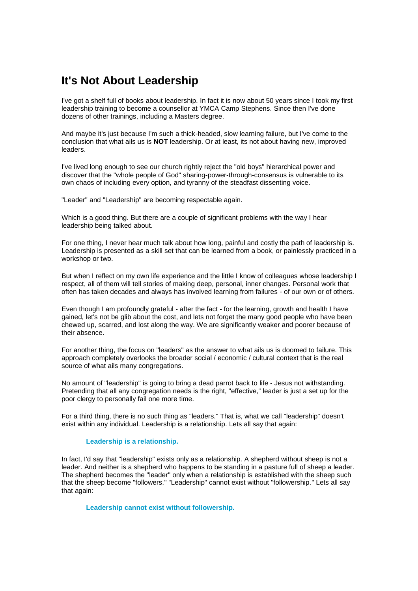## **It's Not About Leadership**

I've got a shelf full of books about leadership. In fact it is now about 50 years since I took my first leadership training to become a counsellor at YMCA Camp Stephens. Since then I've done dozens of other trainings, including a Masters degree.

And maybe it's just because I'm such a thick-headed, slow learning failure, but I've come to the conclusion that what ails us is **NOT** leadership. Or at least, its not about having new, improved leaders.

I've lived long enough to see our church rightly reject the "old boys" hierarchical power and discover that the "whole people of God" sharing-power-through-consensus is vulnerable to its own chaos of including every option, and tyranny of the steadfast dissenting voice.

"Leader" and "Leadership" are becoming respectable again.

Which is a good thing. But there are a couple of significant problems with the way I hear leadership being talked about.

For one thing, I never hear much talk about how long, painful and costly the path of leadership is. Leadership is presented as a skill set that can be learned from a book, or painlessly practiced in a workshop or two.

But when I reflect on my own life experience and the little I know of colleagues whose leadership I respect, all of them will tell stories of making deep, personal, inner changes. Personal work that often has taken decades and always has involved learning from failures - of our own or of others.

Even though I am profoundly grateful - after the fact - for the learning, growth and health I have gained, let's not be glib about the cost, and lets not forget the many good people who have been chewed up, scarred, and lost along the way. We are significantly weaker and poorer because of their absence.

For another thing, the focus on "leaders" as the answer to what ails us is doomed to failure. This approach completely overlooks the broader social / economic / cultural context that is the real source of what ails many congregations.

No amount of "leadership" is going to bring a dead parrot back to life - Jesus not withstanding. Pretending that all any congregation needs is the right, "effective," leader is just a set up for the poor clergy to personally fail one more time.

For a third thing, there is no such thing as "leaders." That is, what we call "leadership" doesn't exist within any individual. Leadership is a relationship. Lets all say that again:

## **Leadership is a relationship.**

In fact, I'd say that "leadership" exists only as a relationship. A shepherd without sheep is not a leader. And neither is a shepherd who happens to be standing in a pasture full of sheep a leader. The shepherd becomes the "leader" only when a relationship is established with the sheep such that the sheep become "followers." "Leadership" cannot exist without "followership." Lets all say that again:

**Leadership cannot exist without followership.**